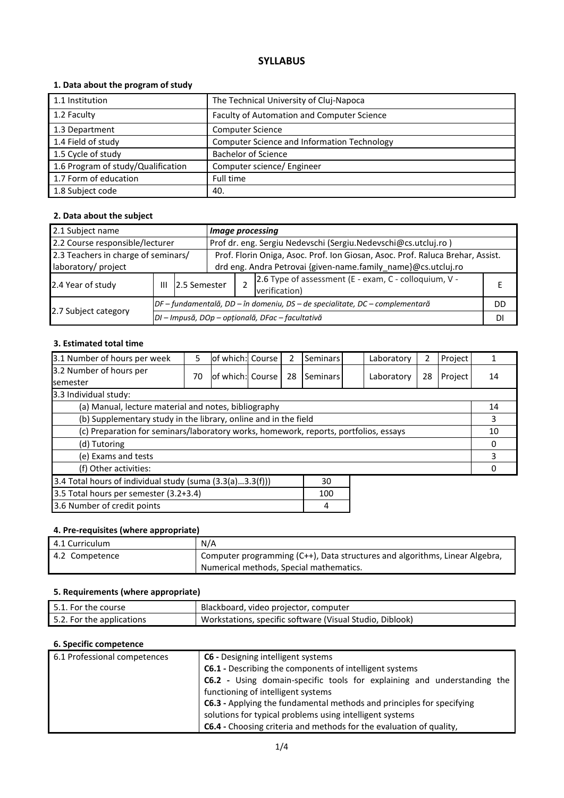# **SYLLABUS**

## **1. Data about the program of study**

| 1.1 Institution                    | The Technical University of Cluj-Napoca     |
|------------------------------------|---------------------------------------------|
| 1.2 Faculty                        | Faculty of Automation and Computer Science  |
| 1.3 Department                     | <b>Computer Science</b>                     |
| 1.4 Field of study                 | Computer Science and Information Technology |
| 1.5 Cycle of study                 | <b>Bachelor of Science</b>                  |
| 1.6 Program of study/Qualification | Computer science/ Engineer                  |
| 1.7 Form of education              | Full time                                   |
| 1.8 Subject code                   | 40.                                         |

## **2. Data about the subject**

| 2.1 Subject name                                                                                  |   |                                                                                | Image processing                                                               |  |                                                       |    |
|---------------------------------------------------------------------------------------------------|---|--------------------------------------------------------------------------------|--------------------------------------------------------------------------------|--|-------------------------------------------------------|----|
| 2.2 Course responsible/lecturer<br>Prof dr. eng. Sergiu Nedevschi (Sergiu.Nedevschi@cs.utcluj.ro) |   |                                                                                |                                                                                |  |                                                       |    |
| 2.3 Teachers in charge of seminars/                                                               |   |                                                                                | Prof. Florin Oniga, Asoc. Prof. Ion Giosan, Asoc. Prof. Raluca Brehar, Assist. |  |                                                       |    |
| laboratory/ project                                                                               |   |                                                                                | drd eng. Andra Petrovai {given-name.family name}@cs.utcluj.ro                  |  |                                                       |    |
| 2.4 Year of study                                                                                 | Ш |                                                                                | 2.5 Semester<br>verification)                                                  |  | 2.6 Type of assessment (E - exam, C - colloquium, V - |    |
| 2.7 Subject category                                                                              |   | $DF$ – fundamentală, DD – în domeniu, DS – de specialitate, DC – complementară |                                                                                |  | DD                                                    |    |
|                                                                                                   |   |                                                                                |                                                                                |  | DI - Impusă, DOp - opțională, DFac - facultativă      | DI |

#### **3. Estimated total time**

| 3.1 Number of hours per week                                                         | 5  | of which: Course |  | $\mathcal{P}$ | Seminars |    | Laboratory | 2  | Project |    |
|--------------------------------------------------------------------------------------|----|------------------|--|---------------|----------|----|------------|----|---------|----|
| 3.2 Number of hours per<br>semester                                                  | 70 | of which: Course |  | 28            | Seminars |    | Laboratory | 28 | Project | 14 |
| 3.3 Individual study:                                                                |    |                  |  |               |          |    |            |    |         |    |
| (a) Manual, lecture material and notes, bibliography                                 |    |                  |  |               |          |    |            |    |         | 14 |
| (b) Supplementary study in the library, online and in the field                      |    |                  |  |               |          | 3  |            |    |         |    |
| (c) Preparation for seminars/laboratory works, homework, reports, portfolios, essays |    |                  |  |               |          | 10 |            |    |         |    |
| (d) Tutoring                                                                         |    |                  |  |               |          | 0  |            |    |         |    |
| (e) Exams and tests                                                                  |    |                  |  |               |          |    | 3          |    |         |    |
| (f) Other activities:                                                                |    |                  |  |               |          | 0  |            |    |         |    |
| 3.4 Total hours of individual study (suma (3.3(a)3.3(f)))<br>30                      |    |                  |  |               |          |    |            |    |         |    |
| 3.5 Total hours per semester (3.2+3.4)                                               |    |                  |  |               | 100      |    |            |    |         |    |
| 3.6 Number of credit points                                                          |    |                  |  |               | 4        |    |            |    |         |    |

## **4. Pre-requisites (where appropriate)**

| 4.1 Curriculum | N/A                                                                         |
|----------------|-----------------------------------------------------------------------------|
| 4.2 Competence | Computer programming (C++), Data structures and algorithms, Linear Algebra, |
|                | Numerical methods, Special mathematics.                                     |

## **5. Requirements (where appropriate)**

| 5.1. For the course       | Blackboard, video projector, computer                    |
|---------------------------|----------------------------------------------------------|
| 5.2. For the applications | Workstations, specific software (Visual Studio, Diblook) |

## **6. Specific competence**

| 6.1 Professional competences | <b>C6</b> - Designing intelligent systems                                  |  |  |  |  |
|------------------------------|----------------------------------------------------------------------------|--|--|--|--|
|                              | <b>C6.1</b> - Describing the components of intelligent systems             |  |  |  |  |
|                              | C6.2 - Using domain-specific tools for explaining and understanding the    |  |  |  |  |
|                              | functioning of intelligent systems                                         |  |  |  |  |
|                              | C6.3 - Applying the fundamental methods and principles for specifying      |  |  |  |  |
|                              | solutions for typical problems using intelligent systems                   |  |  |  |  |
|                              | <b>C6.4</b> - Choosing criteria and methods for the evaluation of quality, |  |  |  |  |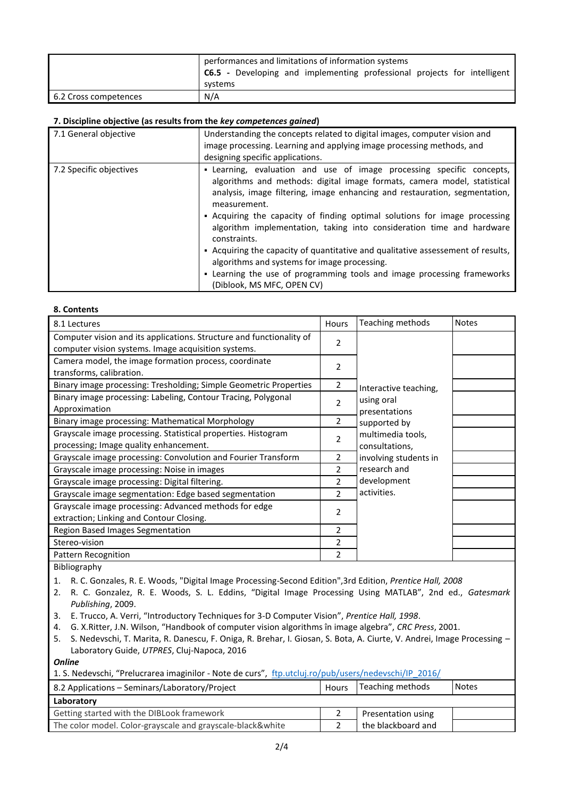|                       | performances and limitations of information systems                             |  |  |  |
|-----------------------|---------------------------------------------------------------------------------|--|--|--|
|                       | <b>C6.5</b> - Developing and implementing professional projects for intelligent |  |  |  |
|                       | systems                                                                         |  |  |  |
| 6.2 Cross competences | N/A                                                                             |  |  |  |

#### **7. Discipline objective (as results from the** *key competences gained***)**

| 7.1 General objective   | Understanding the concepts related to digital images, computer vision and<br>image processing. Learning and applying image processing methods, and<br>designing specific applications.                                                                                                                                                                                                                                                                                                                                                                                                                                                                              |
|-------------------------|---------------------------------------------------------------------------------------------------------------------------------------------------------------------------------------------------------------------------------------------------------------------------------------------------------------------------------------------------------------------------------------------------------------------------------------------------------------------------------------------------------------------------------------------------------------------------------------------------------------------------------------------------------------------|
| 7.2 Specific objectives | - Learning, evaluation and use of image processing specific concepts,<br>algorithms and methods: digital image formats, camera model, statistical<br>analysis, image filtering, image enhancing and restauration, segmentation,<br>measurement.<br>• Acquiring the capacity of finding optimal solutions for image processing<br>algorithm implementation, taking into consideration time and hardware<br>constraints.<br>- Acquiring the capacity of quantitative and qualitative assessement of results,<br>algorithms and systems for image processing.<br>- Learning the use of programming tools and image processing frameworks<br>(Diblook, MS MFC, OPEN CV) |

#### **8. Contents**

| Hours          | Teaching methods                                                                    | <b>Notes</b>                                         |
|----------------|-------------------------------------------------------------------------------------|------------------------------------------------------|
|                |                                                                                     |                                                      |
|                |                                                                                     |                                                      |
|                |                                                                                     |                                                      |
|                |                                                                                     |                                                      |
| 2              |                                                                                     |                                                      |
|                |                                                                                     |                                                      |
|                |                                                                                     |                                                      |
| 2              | supported by                                                                        |                                                      |
|                | multimedia tools,                                                                   |                                                      |
|                | consultations,                                                                      |                                                      |
| 2              | involving students in                                                               |                                                      |
| 2              | research and                                                                        |                                                      |
| 2              | development                                                                         |                                                      |
| $\mathfrak{p}$ | activities.                                                                         |                                                      |
|                |                                                                                     |                                                      |
|                |                                                                                     |                                                      |
| 2              |                                                                                     |                                                      |
| 2              |                                                                                     |                                                      |
| $\overline{2}$ |                                                                                     |                                                      |
|                | $\overline{2}$<br>$\overline{2}$<br>$\overline{2}$<br>$\overline{\phantom{a}}$<br>2 | Interactive teaching,<br>using oral<br>presentations |

Bibliography

- 1. R. C. Gonzales, R. E. Woods, "Digital Image Processing-Second Edition",3rd Edition, *Prentice Hall, 2008*
- 2. R. C. Gonzalez, R. E. Woods, S. L. Eddins, "Digital Image Processing Using MATLAB", 2nd ed., *Gatesmark Publishing*, 2009.
- 3. E. Trucco, A. Verri, "Introductory Techniques for 3-D Computer Vision", *Prentice Hall, 1998*.
- 4. G. X.Ritter, J.N. Wilson, "Handbook of computer vision algorithms în image algebra", *CRC Press*, 2001.
- 5. S. Nedevschi, T. Marita, R. Danescu, F. Oniga, R. Brehar, I. Giosan, S. Bota, A. Ciurte, V. Andrei, Image Processing Laboratory Guide, *UTPRES*, Cluj-Napoca, 2016

*Online* 

1. S. Nedevschi, "Prelucrarea imaginilor - Note de curs", [ftp.utcluj.ro/pub/users/nedevschi/IP\\_2016/](ftp://ftp.utcluj.ro/pub/users/nedevschi/IP_2016/)

| 8.2 Applications – Seminars/Laboratory/Project             | Hours | Teaching methods   | <b>Notes</b> |
|------------------------------------------------------------|-------|--------------------|--------------|
| Laboratory                                                 |       |                    |              |
| Getting started with the DIBLook framework                 |       | Presentation using |              |
| The color model. Color-grayscale and grayscale-black&white |       | the blackboard and |              |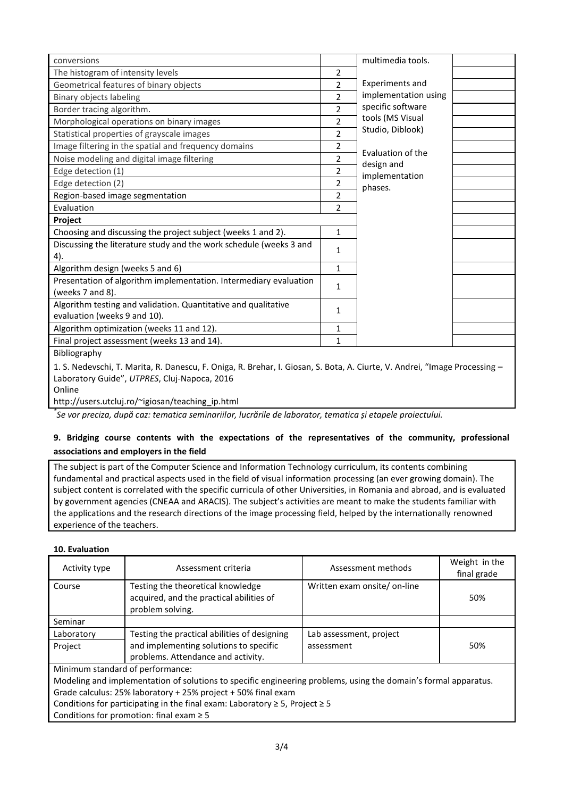| conversions                                                                                                                |                | multimedia tools.               |  |
|----------------------------------------------------------------------------------------------------------------------------|----------------|---------------------------------|--|
| The histogram of intensity levels                                                                                          | $\overline{2}$ |                                 |  |
| Geometrical features of binary objects                                                                                     | $\overline{2}$ | <b>Experiments and</b>          |  |
| Binary objects labeling                                                                                                    | $\overline{2}$ | implementation using            |  |
| Border tracing algorithm.                                                                                                  | $\overline{2}$ | specific software               |  |
| Morphological operations on binary images                                                                                  | $\overline{2}$ | tools (MS Visual                |  |
| Statistical properties of grayscale images                                                                                 | $\overline{2}$ | Studio, Diblook)                |  |
| Image filtering in the spatial and frequency domains                                                                       | 2              |                                 |  |
| Noise modeling and digital image filtering                                                                                 | $\overline{2}$ | Evaluation of the<br>design and |  |
| Edge detection (1)                                                                                                         | 2              | implementation                  |  |
| Edge detection (2)                                                                                                         | 2              | phases.                         |  |
| Region-based image segmentation                                                                                            | 2              |                                 |  |
| Evaluation                                                                                                                 | $\overline{2}$ |                                 |  |
| Project                                                                                                                    |                |                                 |  |
| Choosing and discussing the project subject (weeks 1 and 2).                                                               | $\mathbf{1}$   |                                 |  |
| Discussing the literature study and the work schedule (weeks 3 and                                                         | 1              |                                 |  |
| 4).                                                                                                                        |                |                                 |  |
| Algorithm design (weeks 5 and 6)                                                                                           | $\mathbf{1}$   |                                 |  |
| Presentation of algorithm implementation. Intermediary evaluation                                                          | $\mathbf{1}$   |                                 |  |
| (weeks 7 and 8).                                                                                                           |                |                                 |  |
| Algorithm testing and validation. Quantitative and qualitative                                                             | $\mathbf{1}$   |                                 |  |
| evaluation (weeks 9 and 10).                                                                                               |                |                                 |  |
| Algorithm optimization (weeks 11 and 12).                                                                                  | 1              |                                 |  |
| Final project assessment (weeks 13 and 14).                                                                                | $\mathbf{1}$   |                                 |  |
| Bibliography                                                                                                               |                |                                 |  |
| 1. S. Nedevschi, T. Marita, R. Danescu, F. Oniga, R. Brehar, I. Giosan, S. Bota, A. Ciurte, V. Andrei, "Image Processing - |                |                                 |  |
| Laboratory Guide", UTPRES, Cluj-Napoca, 2016                                                                               |                |                                 |  |

Online

http://users.utcluj.ro/~igiosan/teaching\_ip.html

*\* Se vor preciza, după caz: tematica seminariilor, lucrările de laborator, tematica și etapele proiectului.*

## **9. Bridging course contents with the expectations of the representatives of the community, professional associations and employers in the field**

The subject is part of the Computer Science and Information Technology curriculum, its contents combining fundamental and practical aspects used in the field of visual information processing (an ever growing domain). The subject content is correlated with the specific curricula of other Universities, in Romania and abroad, and is evaluated by government agencies (CNEAA and ARACIS). The subject's activities are meant to make the students familiar with the applications and the research directions of the image processing field, helped by the internationally renowned experience of the teachers.

#### **10. Evaluation**

| Activity type                                                                         | Assessment criteria                                                                                             | Assessment methods           | Weight in the<br>final grade |  |  |
|---------------------------------------------------------------------------------------|-----------------------------------------------------------------------------------------------------------------|------------------------------|------------------------------|--|--|
| Course                                                                                | Testing the theoretical knowledge<br>acquired, and the practical abilities of                                   | Written exam onsite/ on-line | 50%                          |  |  |
|                                                                                       | problem solving.                                                                                                |                              |                              |  |  |
| Seminar                                                                               |                                                                                                                 |                              |                              |  |  |
| Laboratory                                                                            | Testing the practical abilities of designing                                                                    | Lab assessment, project      |                              |  |  |
| Project                                                                               | and implementing solutions to specific                                                                          | assessment                   | 50%                          |  |  |
|                                                                                       | problems. Attendance and activity.                                                                              |                              |                              |  |  |
| Minimum standard of performance:                                                      |                                                                                                                 |                              |                              |  |  |
|                                                                                       | Modeling and implementation of solutions to specific engineering problems, using the domain's formal apparatus. |                              |                              |  |  |
| Grade calculus: 25% laboratory + 25% project + 50% final exam                         |                                                                                                                 |                              |                              |  |  |
| Conditions for participating in the final exam: Laboratory $\geq$ 5, Project $\geq$ 5 |                                                                                                                 |                              |                              |  |  |
|                                                                                       | Conditions for promotion: final exam $\geq$ 5                                                                   |                              |                              |  |  |